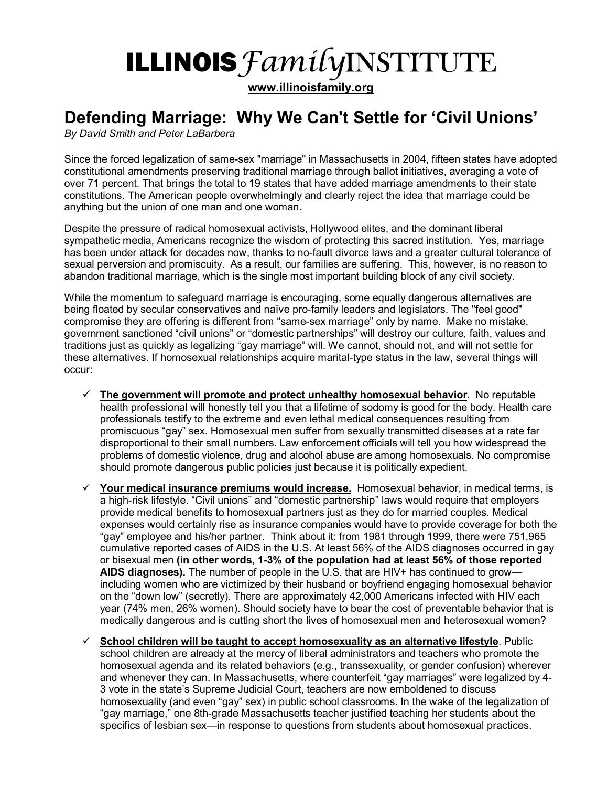## ILLINOIS *FamilyINSTITUTE*

**www.illinoisfamily.org**

## Defending Marriage: Why We Can't Settle for 'Civil Unions'

*By David Smith and Peter LaBarbera* 

Since the forced legalization of same-sex "marriage" in Massachusetts in 2004, fifteen states have adopted constitutional amendments preserving traditional marriage through ballot initiatives, averaging a vote of over 71 percent. That brings the total to 19 states that have added marriage amendments to their state constitutions. The American people overwhelmingly and clearly reject the idea that marriage could be anything but the union of one man and one woman.

Despite the pressure of radical homosexual activists, Hollywood elites, and the dominant liberal sympathetic media, Americans recognize the wisdom of protecting this sacred institution. Yes, marriage has been under attack for decades now, thanks to no-fault divorce laws and a greater cultural tolerance of sexual perversion and promiscuity. As a result, our families are suffering. This, however, is no reason to abandon traditional marriage, which is the single most important building block of any civil society.

While the momentum to safeguard marriage is encouraging, some equally dangerous alternatives are being floated by secular conservatives and naïve pro-family leaders and legislators. The "feel good" compromise they are offering is different from "same-sex marriage" only by name. Make no mistake, government sanctioned "civil unions" or "domestic partnerships" will destroy our culture, faith, values and traditions just as quickly as legalizing "gay marriage" will. We cannot, should not, and will not settle for these alternatives. If homosexual relationships acquire marital-type status in the law, several things will occur:

- ! **The government will promote and protect unhealthy homosexual behavior**. No reputable health professional will honestly tell you that a lifetime of sodomy is good for the body. Health care professionals testify to the extreme and even lethal medical consequences resulting from promiscuous "gay" sex. Homosexual men suffer from sexually transmitted diseases at a rate far disproportional to their small numbers. Law enforcement officials will tell you how widespread the problems of domestic violence, drug and alcohol abuse are among homosexuals. No compromise should promote dangerous public policies just because it is politically expedient.
- ! **Your medical insurance premiums would increase.** Homosexual behavior, in medical terms, is a high-risk lifestyle. "Civil unions" and "domestic partnership" laws would require that employers provide medical benefits to homosexual partners just as they do for married couples. Medical expenses would certainly rise as insurance companies would have to provide coverage for both the ìgayî employee and his/her partner. Think about it: from 1981 through 1999, there were 751,965 cumulative reported cases of AIDS in the U.S. At least 56% of the AIDS diagnoses occurred in gay or bisexual men **(in other words, 1-3% of the population had at least 56% of those reported AIDS diagnoses).** The number of people in the U.S. that are HIV+ has continued to grow including women who are victimized by their husband or boyfriend engaging homosexual behavior on the "down low" (secretly). There are approximately 42,000 Americans infected with HIV each year (74% men, 26% women). Should society have to bear the cost of preventable behavior that is medically dangerous and is cutting short the lives of homosexual men and heterosexual women?
- ! **School children will be taught to accept homosexuality as an alternative lifestyle**. Public school children are already at the mercy of liberal administrators and teachers who promote the homosexual agenda and its related behaviors (e.g., transsexuality, or gender confusion) wherever and whenever they can. In Massachusetts, where counterfeit "gay marriages" were legalized by 4-3 vote in the stateís Supreme Judicial Court, teachers are now emboldened to discuss homosexuality (and even "gay" sex) in public school classrooms. In the wake of the legalization of ìgay marriage,î one 8th-grade Massachusetts teacher justified teaching her students about the specifics of lesbian sex—in response to questions from students about homosexual practices.